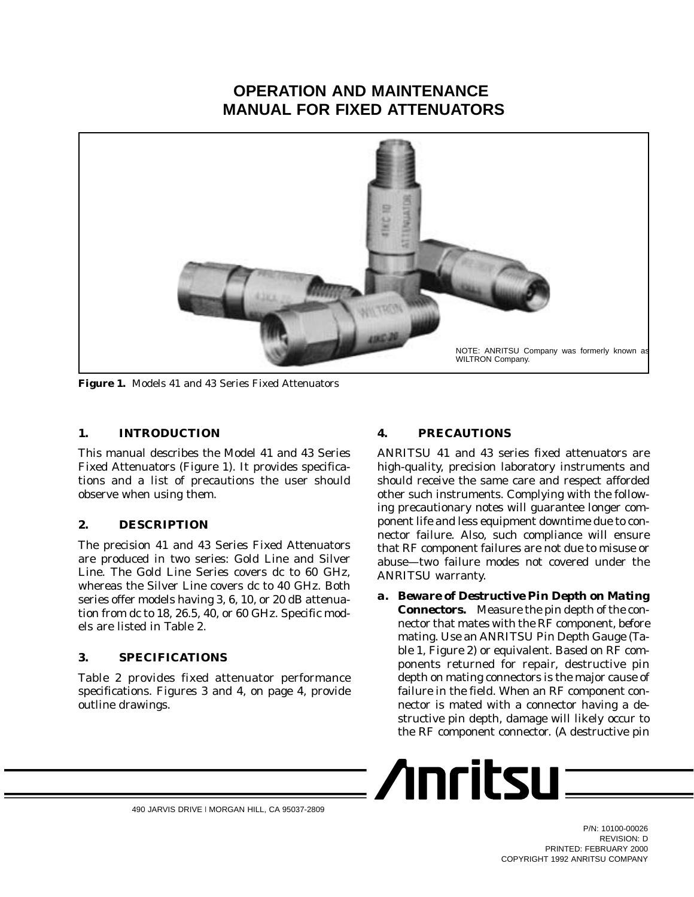# **OPERATION AND MAINTENANCE MANUAL FOR FIXED ATTENUATORS**



**Figure 1.** Models 41 and 43 Series Fixed Attenuators

### **1. INTRODUCTION**

This manual describes the Model 41 and 43 Series Fixed Attenuators (Figure 1). It provides specifications and a list of precautions the user should observe when using them.

### **2. DESCRIPTION**

The precision 41 and 43 Series Fixed Attenuators are produced in two series: Gold Line and Silver Line. The Gold Line Series covers dc to 60 GHz, whereas the Silver Line covers dc to 40 GHz. Both series offer models having 3, 6, 10, or 20 dB attenuation from dc to 18, 26.5, 40, or 60 GHz. Specific models are listed in Table 2.

### **3. SPECIFICATIONS**

Table 2 provides fixed attenuator performance specifications. Figures 3 and 4, on page 4, provide outline drawings.

## **4. PRECAUTIONS**

ANRITSU 41 and 43 series fixed attenuators are high-quality, precision laboratory instruments and should receive the same care and respect afforded other such instruments. Complying with the following precautionary notes will guarantee longer component life and less equipment downtime due to connector failure. Also, such compliance will ensure that RF component failures are not due to misuse or abuse—two failure modes not covered under the ANRITSU warranty.

*a. Beware of Destructive Pin Depth on Mating Connectors.* Measure the pin depth of the connector that mates with the RF component, *before* mating. Use an ANRITSU Pin Depth Gauge (Table 1, Figure 2) or equivalent. Based on RF components returned for repair, destructive pin depth on mating connectors is the major cause of failure in the field. When an RF component connector is mated with a connector having a destructive pin depth, damage will likely occur to the RF component connector. (A destructive pin



490 JARVIS DRIVE l MORGAN HILL, CA 95037-2809

P/N: 10100-00026 REVISION: D PRINTED: FEBRUARY 2000 COPYRIGHT 1992 ANRITSU COMPANY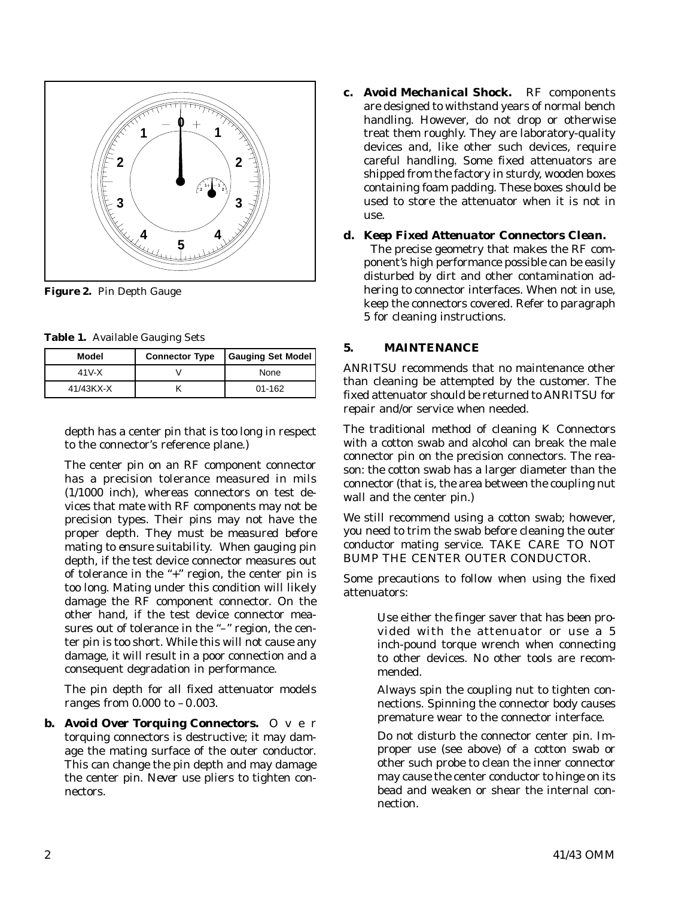

**Figure 2.** Pin Depth Gauge

**Table 1.** Available Gauging Sets

| Model     | <b>Connector Type</b> | <b>Gauging Set Model</b> |
|-----------|-----------------------|--------------------------|
| 41 V-X    |                       | None                     |
| 41/43KX-X |                       | $01 - 162$               |

depth has a center pin that is too long in respect to the connector's reference plane.)

The center pin on an RF component connector has a precision tolerance measured in mils (1/1000 inch), whereas connectors on test devices that mate with RF components may not be precision types. Their pins may not have the proper depth. *They must be measured before mating to ensure suitability.* When gauging pin depth, if the test device connector measures out of tolerance in the "+" region, the center pin is too long. Mating under this condition will likely damage the RF component connector. On the other hand, if the test device connector measures out of tolerance in the "-" region, the center pin is too short. While this will not cause any damage, it will result in a poor connection and a consequent degradation in performance.

The pin depth for all fixed attenuator models ranges from 0.000 to –0.003.

*b.* Avoid Over Torquing Connectors. O ver torquing connectors is destructive; it may damage the mating surface of the outer conductor. This can change the pin depth and may damage the center pin. *Never* use pliers to tighten connectors.

*c. Avoid Mechanical Shock.* RF components are designed to withstand years of normal bench handling. However, do not drop or otherwise treat them roughly. They are laboratory-quality devices and, like other such devices, require careful handling. Some fixed attenuators are shipped from the factory in sturdy, wooden boxes containing foam padding. These boxes should be used to store the attenuator when it is not in use.

#### *d. Keep Fixed Attenuator Connectors Clean.*

The precise geometry that makes the RF component's high performance possible can be easily disturbed by dirt and other contamination adhering to connector interfaces. When not in use, keep the connectors covered. Refer to paragraph 5 for cleaning instructions.

#### **5. MAINTENANCE**

ANRITSU recommends that no maintenance other than cleaning be attempted by the customer. The fixed attenuator should be returned to ANRITSU for repair and/or service when needed.

The traditional method of cleaning K Connectors with a cotton swab and alcohol can break the male connector pin on the precision connectors. The reason: the cotton swab has a larger diameter than the connector (that is, the area between the coupling nut wall and the center pin.)

We still recommend using a cotton swab; however, you need to trim the swab before cleaning the outer conductor mating service. TAKE CARE TO NOT BUMP THE CENTER OUTER CONDUCTOR.

Some precautions to follow when using the fixed attenuators:

> Use either the finger saver that has been provided with the attenuator or use a 5 inch-pound torque wrench when connecting to other devices. No other tools are recommended.

> Always spin the coupling nut to tighten connections. Spinning the connector body causes premature wear to the connector interface.

> Do not disturb the connector center pin. Improper use (see above) of a cotton swab or other such probe to clean the inner connector may cause the center conductor to hinge on its bead and weaken or shear the internal connection.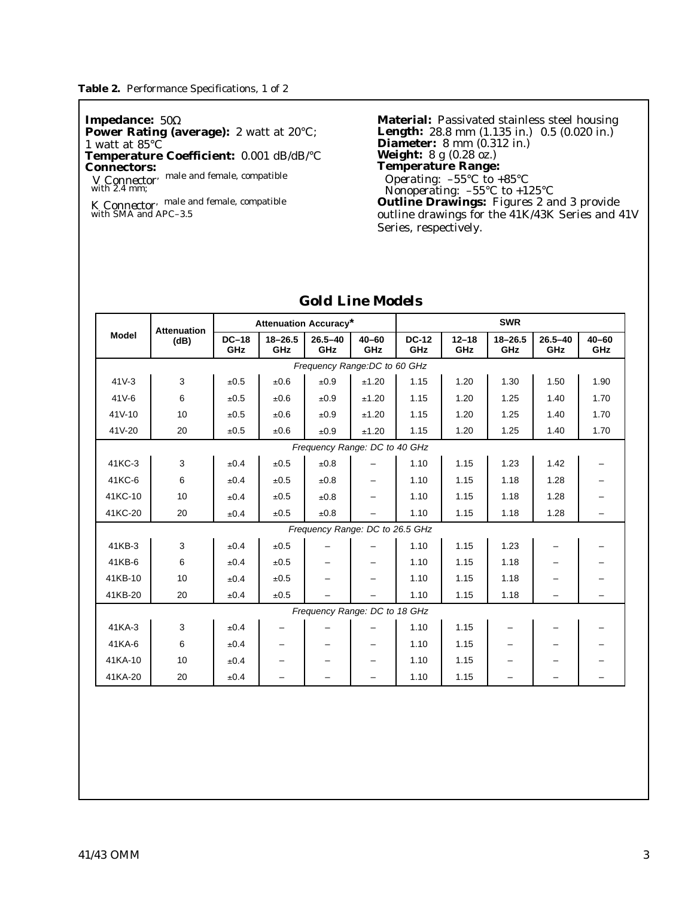**Impedance:** 50Ω **Power Rating (average):** 2 watt at 20°C; 1 watt at 85°C **Temperature Coefficient:** 0.001 dB/dB/°C

**Connectors:** *V Connector*, male and female, compatible with 2.4 mm;

*K Connector*, male and female, compatible with SMA and APC–3.5

**Material:** Passivated stainless steel housing **Length:** 28.8 mm  $(1.135 \text{ in.}) (0.5 (0.020 \text{ in.})$ **Diameter:** 8 mm (0.312 in.) **Weight:** 8 g (0.28 oz.) **Temperature Range:** *Operating:* –55°C to +85°C *Nonoperating:* –55°C to +125°C **Outline Drawings:** Figures 2 and 3 provide outline drawings for the 41K/43K Series and 41V Series, respectively.

|              | <b>Attenuation</b>            | <b>Attenuation Accuracy*</b> |                    |                                 |                          | <b>SWR</b>          |                  |                    |                    |                  |
|--------------|-------------------------------|------------------------------|--------------------|---------------------------------|--------------------------|---------------------|------------------|--------------------|--------------------|------------------|
| <b>Model</b> | (dB)                          | $DC-18$<br>GHz               | $18 - 26.5$<br>GHz | $26.5 - 40$<br>GHz              | $40 - 60$<br>GHz         | <b>DC-12</b><br>GHz | $12 - 18$<br>GHz | $18 - 26.5$<br>GHz | $26.5 - 40$<br>GHz | $40 - 60$<br>GHz |
|              |                               |                              |                    | Frequency Range: DC to 60 GHz   |                          |                     |                  |                    |                    |                  |
| $41V-3$      | 3                             | ±0.5                         | ±0.6               | ±0.9                            | ±1.20                    | 1.15                | 1.20             | 1.30               | 1.50               | 1.90             |
| $41V-6$      | 6                             | ±0.5                         | ±0.6               | ±0.9                            | ±1.20                    | 1.15                | 1.20             | 1.25               | 1.40               | 1.70             |
| 41V-10       | 10                            | ±0.5                         | ±0.6               | ±0.9                            | ±1.20                    | 1.15                | 1.20             | 1.25               | 1.40               | 1.70             |
| 41V-20       | 20                            | ±0.5                         | ±0.6               | ±0.9                            | ±1.20                    | 1.15                | 1.20             | 1.25               | 1.40               | 1.70             |
|              | Frequency Range: DC to 40 GHz |                              |                    |                                 |                          |                     |                  |                    |                    |                  |
| 41KC-3       | 3                             | ±0.4                         | ±0.5               | ±0.8                            |                          | 1.10                | 1.15             | 1.23               | 1.42               |                  |
| 41KC-6       | 6                             | ±0.4                         | ±0.5               | ±0.8                            | —                        | 1.10                | 1.15             | 1.18               | 1.28               |                  |
| 41KC-10      | 10                            | ±0.4                         | ±0.5               | ±0.8                            | $\overline{\phantom{0}}$ | 1.10                | 1.15             | 1.18               | 1.28               |                  |
| 41KC-20      | 20                            | ±0.4                         | ±0.5               | ±0.8                            |                          | 1.10                | 1.15             | 1.18               | 1.28               |                  |
|              |                               |                              |                    | Frequency Range: DC to 26.5 GHz |                          |                     |                  |                    |                    |                  |
| 41KB-3       | 3                             | ±0.4                         | ±0.5               |                                 |                          | 1.10                | 1.15             | 1.23               |                    |                  |
| 41KB-6       | 6                             | ±0.4                         | ±0.5               |                                 |                          | 1.10                | 1.15             | 1.18               |                    |                  |
| 41KB-10      | 10                            | ±0.4                         | ±0.5               |                                 | -                        | 1.10                | 1.15             | 1.18               |                    |                  |
| 41KB-20      | 20                            | ±0.4                         | ±0.5               |                                 |                          | 1.10                | 1.15             | 1.18               |                    |                  |
|              |                               |                              |                    | Frequency Range: DC to 18 GHz   |                          |                     |                  |                    |                    |                  |
| 41KA-3       | 3                             | ±0.4                         |                    |                                 |                          | 1.10                | 1.15             |                    |                    |                  |
| 41KA-6       | 6                             | ±0.4                         |                    |                                 | —                        | 1.10                | 1.15             |                    |                    |                  |
| 41KA-10      | 10                            | ±0.4                         | -                  |                                 | -                        | 1.10                | 1.15             |                    |                    |                  |
| 41KA-20      | 20                            | ±0.4                         |                    |                                 |                          | 1.10                | 1.15             |                    |                    |                  |

## *Gold Line Models*